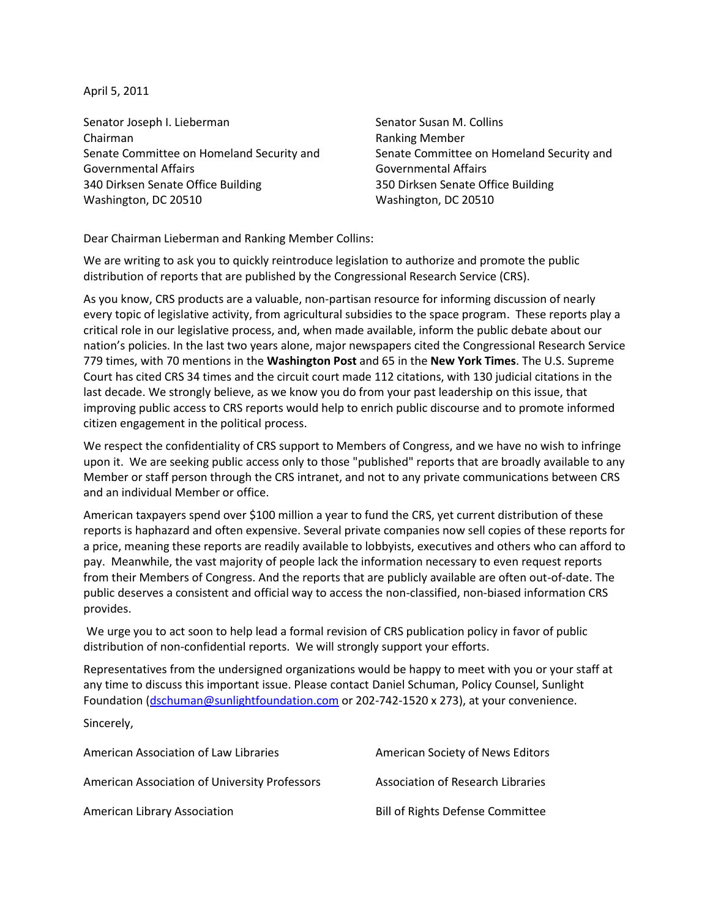April 5, 2011

Senator Joseph I. Lieberman Chairman Senate Committee on Homeland Security and Governmental Affairs 340 Dirksen Senate Office Building Washington, DC 20510

Senator Susan M. Collins Ranking Member Senate Committee on Homeland Security and Governmental Affairs 350 Dirksen Senate Office Building Washington, DC 20510

Dear Chairman Lieberman and Ranking Member Collins:

We are writing to ask you to quickly reintroduce legislation to authorize and promote the public distribution of reports that are published by the Congressional Research Service (CRS).

As you know, CRS products are a valuable, non-partisan resource for informing discussion of nearly every topic of legislative activity, from agricultural subsidies to the space program. These reports play a critical role in our legislative process, and, when made available, inform the public debate about our nation's policies. In the last two years alone, major newspapers cited the Congressional Research Service 779 times, with 70 mentions in the **Washington Post** and 65 in the **New York Times**. The U.S. Supreme Court has cited CRS 34 times and the circuit court made 112 citations, with 130 judicial citations in the last decade. We strongly believe, as we know you do from your past leadership on this issue, that improving public access to CRS reports would help to enrich public discourse and to promote informed citizen engagement in the political process.

We respect the confidentiality of CRS support to Members of Congress, and we have no wish to infringe upon it. We are seeking public access only to those "published" reports that are broadly available to any Member or staff person through the CRS intranet, and not to any private communications between CRS and an individual Member or office.

American taxpayers spend over \$100 million a year to fund the CRS, yet current distribution of these reports is haphazard and often expensive. Several private companies now sell copies of these reports for a price, meaning these reports are readily available to lobbyists, executives and others who can afford to pay. Meanwhile, the vast majority of people lack the information necessary to even request reports from their Members of Congress. And the reports that are publicly available are often out-of-date. The public deserves a consistent and official way to access the non-classified, non-biased information CRS provides.

We urge you to act soon to help lead a formal revision of CRS publication policy in favor of public distribution of non-confidential reports. We will strongly support your efforts.

Representatives from the undersigned organizations would be happy to meet with you or your staff at any time to discuss this important issue. Please contact Daniel Schuman, Policy Counsel, Sunlight Foundation [\(dschuman@sunlightfoundation.com](mailto:dschuman@sunlightfoundation.com) or 202-742-1520 x 273), at your convenience.

Sincerely,

| American Association of Law Libraries         | American Society of News Editors  |
|-----------------------------------------------|-----------------------------------|
| American Association of University Professors | Association of Research Libraries |
| American Library Association                  | Bill of Rights Defense Committee  |